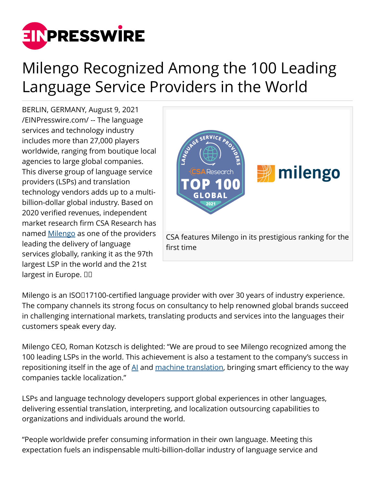

## Milengo Recognized Among the 100 Leading Language Service Providers in the World

BERLIN, GERMANY, August 9, 2021 [/EINPresswire.com/](http://www.einpresswire.com) -- The language services and technology industry includes more than 27,000 players worldwide, ranging from boutique local agencies to large global companies. This diverse group of language service providers (LSPs) and translation technology vendors adds up to a multibillion-dollar global industry. Based on 2020 verified revenues, independent market research firm CSA Research has named [Milengo](http://www.milengo.com) as one of the providers leading the delivery of language services globally, ranking it as the 97th largest LSP in the world and the 21st largest in Europe.  $\Box$ 



Milengo is an ISO 17100-certified language provider with over 30 years of industry experience. The company channels its strong focus on consultancy to help renowned global brands succeed in challenging international markets, translating products and services into the languages their customers speak every day.

Milengo CEO, Roman Kotzsch is delighted: "We are proud to see Milengo recognized among the 100 leading LSPs in the world. This achievement is also a testament to the company's success in repositioning itself in the age of  $\underline{Al}$  and [machine translation,](https://www.milengo.com/machine-translation/) bringing smart efficiency to the way companies tackle localization."

LSPs and language technology developers support global experiences in other languages, delivering essential translation, interpreting, and localization outsourcing capabilities to organizations and individuals around the world.

"People worldwide prefer consuming information in their own language. Meeting this expectation fuels an indispensable multi-billion-dollar industry of language service and